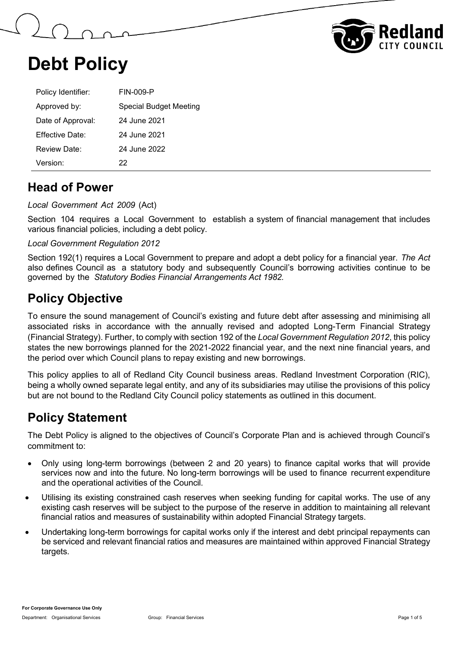



| Policy Identifier:     | FIN-009-P              |
|------------------------|------------------------|
| Approved by:           | Special Budget Meeting |
| Date of Approval:      | 24 June 2021           |
| <b>Effective Date:</b> | 24 June 2021           |
| Review Date:           | 24 June 2022           |
| Version <sup>.</sup>   | 22                     |

#### **Head of Power**

*Local Government Act 2009* (Act)

Section 104 requires a Local Government to establish a system of financial management that includes various financial policies, including a debt policy.

*Local Government Regulation 2012*

Section 192(1) requires a Local Government to prepare and adopt a debt policy for a financial year. *The Act* also defines Council as a statutory body and subsequently Council's borrowing activities continue to be governed by the *Statutory Bodies Financial Arrangements Act 1982.*

## **Policy Objective**

To ensure the sound management of Council's existing and future debt after assessing and minimising all associated risks in accordance with the annually revised and adopted Long-Term Financial Strategy (Financial Strategy). Further, to comply with section 192 of the *Local Government Regulation 2012*, this policy states the new borrowings planned for the 2021-2022 financial year, and the next nine financial years, and the period over which Council plans to repay existing and new borrowings.

This policy applies to all of Redland City Council business areas. Redland Investment Corporation (RIC), being a wholly owned separate legal entity, and any of its subsidiaries may utilise the provisions of this policy but are not bound to the Redland City Council policy statements as outlined in this document.

## **Policy Statement**

The Debt Policy is aligned to the objectives of Council's Corporate Plan and is achieved through Council's commitment to:

- Only using long-term borrowings (between 2 and 20 years) to finance capital works that will provide services now and into the future. No long-term borrowings will be used to finance recurrent expenditure and the operational activities of the Council.
- Utilising its existing constrained cash reserves when seeking funding for capital works. The use of any existing cash reserves will be subject to the purpose of the reserve in addition to maintaining all relevant financial ratios and measures of sustainability within adopted Financial Strategy targets.
- Undertaking long-term borrowings for capital works only if the interest and debt principal repayments can be serviced and relevant financial ratios and measures are maintained within approved Financial Strategy targets.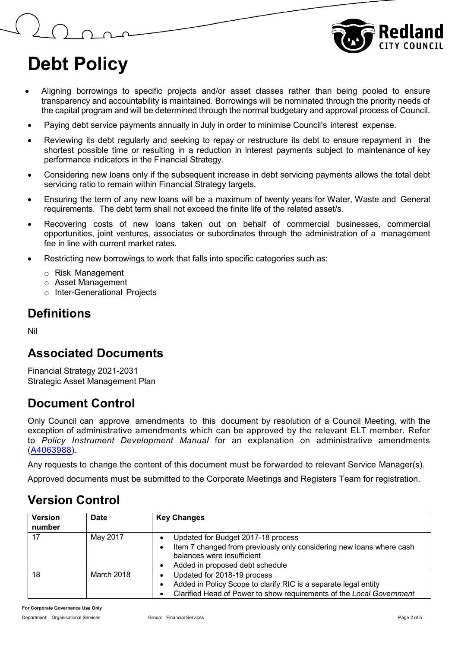

- Aligning borrowings to specific projects and/or asset classes rather than being pooled to ensure transparency and accountability is maintained. Borrowings will be nominated through the priority needs of the capital program and will be determined through the normal budgetary and approval process of Council.
- Paying debt service payments annually in July in order to minimise Council's interest expense.
- Reviewing its debt regularly and seeking to repay or restructure its debt to ensure repayment in the shortest possible time or resulting in a reduction in interest payments subject to maintenance of key performance indicators in the Financial Strategy.
- Considering new loans only if the subsequent increase in debt servicing payments allows the total debt servicing ratio to remain within Financial Strategy targets.
- Ensuring the term of any new loans will be a maximum of twenty years for Water, Waste and General requirements. The debt term shall not exceed the finite life of the related asset/s.
- Recovering costs of new loans taken out on behalf of commercial businesses, commercial opportunities, joint ventures, associates or subordinates through the administration of a management fee in line with current market rates.
- Restricting new borrowings to work that falls into specific categories such as:
	- o Risk Management
	- o Asset Management
	- o Inter-Generational Projects

#### **Definitions**

Nil

#### **Associated Documents**

Financial Strategy 2021-2031 Strategic Asset Management Plan

## **Document Control**

Only Council can approve amendments to this document by resolution of a Council Meeting, with the exception of administrative amendments which can be approved by the relevant ELT member. Refer to *Policy Instrument Development Manual* for an explanation on administrative amendments [\(A4063988\)](https://edrms-prd.rccprd.redland.qld.gov.au/id:A4063988/document/versions/latest).

Any requests to change the content of this document must be forwarded to relevant Service Manager(s).

Approved documents must be submitted to the Corporate Meetings and Registers Team for registration.

## **Version Control**

| <b>Version</b><br>number | <b>Date</b> | <b>Key Changes</b>                                                                                                                                                          |
|--------------------------|-------------|-----------------------------------------------------------------------------------------------------------------------------------------------------------------------------|
| 17                       | May 2017    | Updated for Budget 2017-18 process<br>Item 7 changed from previously only considering new loans where cash<br>balances were insufficient<br>Added in proposed debt schedule |
| 18                       | March 2018  | Updated for 2018-19 process<br>Added in Policy Scope to clarify RIC is a separate legal entity<br>Clarified Head of Power to show requirements of the Local Government      |

**For Corporate Governance Use Only**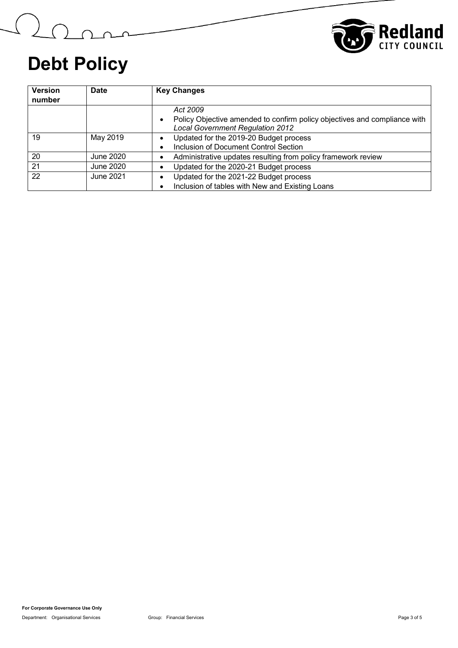

Mari

| <b>Version</b><br>number | <b>Date</b> | <b>Key Changes</b>                                                                                                               |
|--------------------------|-------------|----------------------------------------------------------------------------------------------------------------------------------|
|                          |             | Act 2009<br>Policy Objective amended to confirm policy objectives and compliance with<br><b>Local Government Regulation 2012</b> |
| 19                       | May 2019    | Updated for the 2019-20 Budget process<br>Inclusion of Document Control Section                                                  |
| 20                       | June 2020   | Administrative updates resulting from policy framework review                                                                    |
| $\overline{21}$          | June 2020   | Updated for the 2020-21 Budget process                                                                                           |
| 22                       | June 2021   | Updated for the 2021-22 Budget process<br>Inclusion of tables with New and Existing Loans                                        |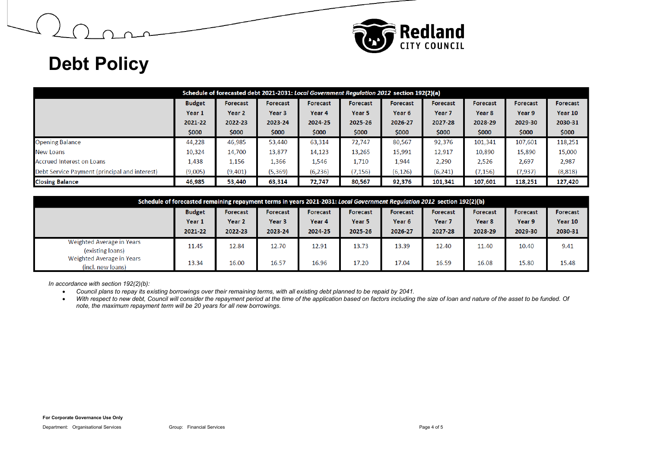

| Schedule of forecasted debt 2021-2031: Local Government Regulation 2012 section 192(2)(a)                |               |                                                                                             |                   |                 |                 |          |                   |          |          |          |  |
|----------------------------------------------------------------------------------------------------------|---------------|---------------------------------------------------------------------------------------------|-------------------|-----------------|-----------------|----------|-------------------|----------|----------|----------|--|
|                                                                                                          | <b>Budget</b> | <b>Forecast</b><br><b>Forecast</b><br><b>Forecast</b><br><b>Forecast</b><br><b>Forecast</b> |                   | <b>Forecast</b> | <b>Forecast</b> | Forecast | Forecast          |          |          |          |  |
|                                                                                                          | Year 1        | Year 2                                                                                      | Year <sub>3</sub> | Year 4          | Year 5          | Year 6   | Year <sub>7</sub> | Year 8   | Year 9   | Year 10  |  |
|                                                                                                          | 2021-22       | 2022-23                                                                                     | 2023-24           | 2024-25         | 2025-26         | 2026-27  | 2027-28           | 2028-29  | 2029-30  | 2030-31  |  |
|                                                                                                          | \$000         | \$000                                                                                       | \$000             | \$000           | \$000           | \$000    | \$000             | \$000    | \$000    | \$000    |  |
| <b>Opening Balance</b>                                                                                   | 44,228        | 46,985                                                                                      | 53,440            | 63,314          | 72,747          | 80,567   | 92,376            | 101,341  | 107,601  | 118,251  |  |
| <b>New Loans</b>                                                                                         | 10,324        | 14,700                                                                                      | 13,877            | 14,123          | 13,265          | 15,991   | 12,917            | 10,890   | 15,890   | 15,000   |  |
| Accrued Interest on Loans                                                                                | 1,438         | 1,156                                                                                       | 1,366             | 1,546           | 1,710           | 1,944    | 2,290             | 2,526    | 2,697    | 2,987    |  |
| Debt Service Payment (principal and interest)                                                            | (9,005)       | (9,401)                                                                                     | (5, 369)          | (6,236)         | (7, 156)        | (6, 126) | (6, 241)          | (7, 156) | (7, 937) | (8, 818) |  |
| <b>Closing Balance</b><br>46,985<br>53,440<br>92,376<br>107,601<br>63,314<br>72,747<br>80,567<br>101,341 |               |                                                                                             |                   |                 |                 |          |                   |          | 118,251  | 127,420  |  |

| Schedule of forecasted remaining repayment terms in years 2021-2031: Local Government Regulation 2012 section 192(2)(b) |               |          |                   |                   |                 |                 |                   |                   |                 |                 |  |  |
|-------------------------------------------------------------------------------------------------------------------------|---------------|----------|-------------------|-------------------|-----------------|-----------------|-------------------|-------------------|-----------------|-----------------|--|--|
|                                                                                                                         | <b>Budget</b> | Forecast | Forecast          | <b>Forecast</b>   | <b>Forecast</b> | <b>Forecast</b> | <b>Forecast</b>   | Forecast          | <b>Forecast</b> | <b>Forecast</b> |  |  |
|                                                                                                                         | Year 1        | Year 2   | Year <sub>3</sub> | Year <sub>4</sub> | Year 5          | Year 6          | Year <sub>7</sub> | Year <sub>8</sub> | Year 9          | Year 10         |  |  |
|                                                                                                                         | 2021-22       | 2022-23  | 2023-24           | 2024-25           | 2025-26         | 2026-27         | 2027-28           | 2028-29           | 2029-30         | 2030-31         |  |  |
| Weighted Average in Years<br>(existing loans)                                                                           | 11.45         | 12.84    | 12.70             | 12.91             | 13.73           | 13.39           | 12.40             | 11.40             | 10.40           | 9.41            |  |  |
| Weighted Average in Years<br>(incl. new loans)                                                                          | 13.34         | 16.00    | 16.57             | 16.96             | 17.20           | 17.04           | 16.59             | 16.08             | 15.80           | 15.48           |  |  |

*In accordance with section 192(2)(b):* 

- *Council plans to repay its existing borrowings over their remaining terms, with all existing debt planned to be repaid by 2041.*
- With respect to new debt, Council will consider the repayment period at the time of the application based on factors including the size of loan and nature of the asset to be funded. Of *note, the maximum repayment term will be 20 years for all new borrowings.*